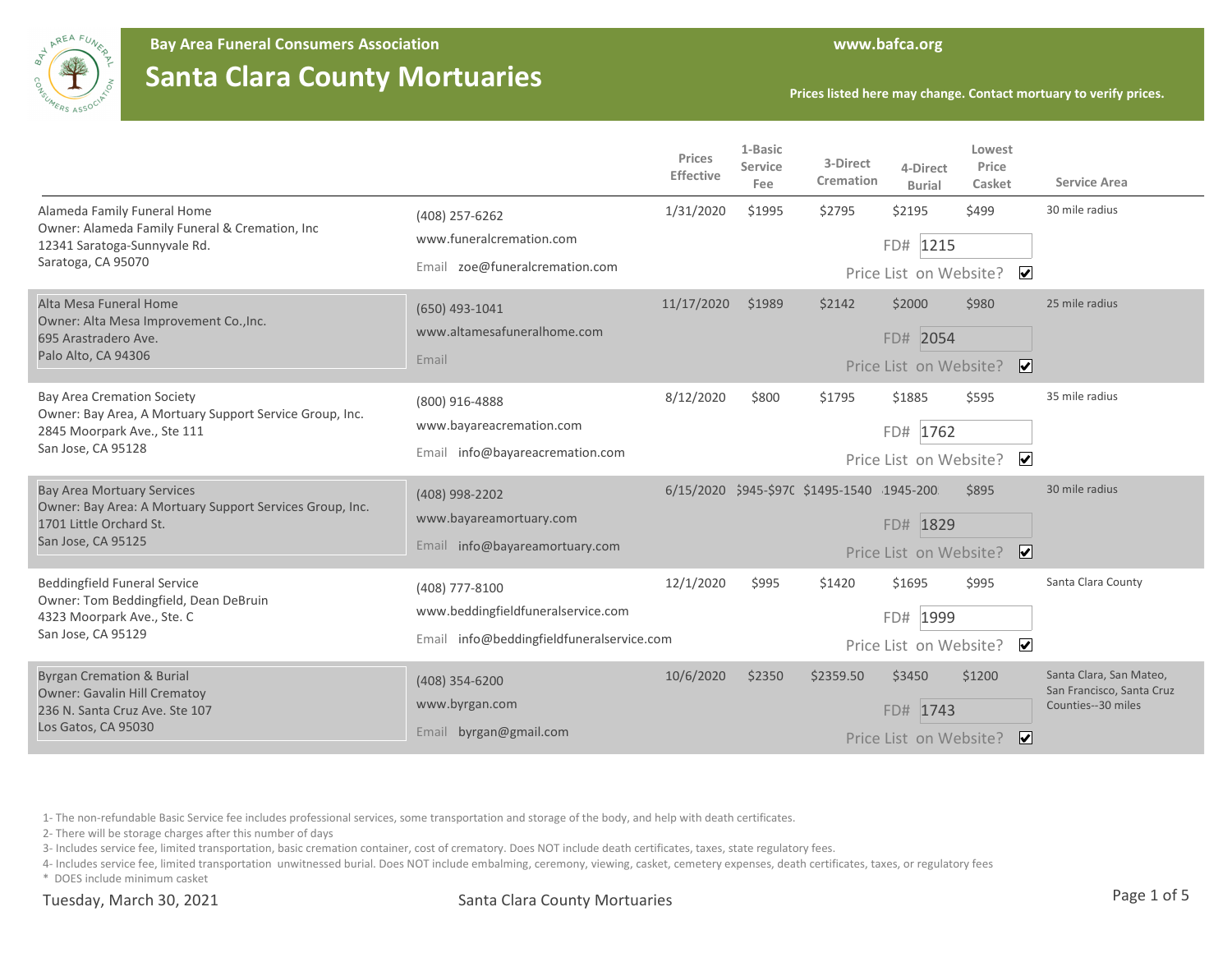

**Bay Area Funeral Consumers Association www.bafca.org**

## **Santa Clara County Mortuaries**

**Prices listed here may change. Contact mortuary to verify prices.**

|                                                                                                                                                   |                                                                                                   | Prices<br><b>Effective</b> | 1-Basic<br>Service<br>Fee | 3-Direct<br>Cremation                      | 4-Direct<br><b>Burial</b>                       | Lowest<br>Price<br>Casket             | <b>Service Area</b>                                                        |
|---------------------------------------------------------------------------------------------------------------------------------------------------|---------------------------------------------------------------------------------------------------|----------------------------|---------------------------|--------------------------------------------|-------------------------------------------------|---------------------------------------|----------------------------------------------------------------------------|
| Alameda Family Funeral Home<br>Owner: Alameda Family Funeral & Cremation, Inc<br>12341 Saratoga-Sunnyvale Rd.<br>Saratoga, CA 95070               | (408) 257-6262<br>www.funeralcremation.com<br>Email zoe@funeralcremation.com                      | 1/31/2020                  | \$1995                    | \$2795                                     | \$2195<br>FD# 1215<br>Price List on Website?    | \$499<br>$\overline{\mathbf{v}}$      | 30 mile radius                                                             |
| Alta Mesa Funeral Home<br>Owner: Alta Mesa Improvement Co., Inc.<br>695 Arastradero Ave.<br>Palo Alto, CA 94306                                   | (650) 493-1041<br>www.altamesafuneralhome.com<br>Email                                            | 11/17/2020                 | \$1989                    | \$2142                                     | \$2000<br>FD# 2054<br>Price List on Website?    | \$980<br>$\overline{\mathbf{v}}$      | 25 mile radius                                                             |
| <b>Bay Area Cremation Society</b><br>Owner: Bay Area, A Mortuary Support Service Group, Inc.<br>2845 Moorpark Ave., Ste 111<br>San Jose, CA 95128 | (800) 916-4888<br>www.bayareacremation.com<br>Email info@bayareacremation.com                     | 8/12/2020                  | \$800                     | \$1795                                     | \$1885<br>FD# 1762<br>Price List on Website?    | \$595<br>$\overline{\mathbf{v}}$      | 35 mile radius                                                             |
| <b>Bay Area Mortuary Services</b><br>Owner: Bay Area: A Mortuary Support Services Group, Inc.<br>1701 Little Orchard St.<br>San Jose, CA 95125    | (408) 998-2202<br>www.bayareamortuary.com<br>Email info@bayareamortuary.com                       |                            |                           | 6/15/2020 \$945-\$970 \$1495-1540 1945-200 | FD# 1829<br>Price List on Website?              | \$895<br>⊻                            | 30 mile radius                                                             |
| <b>Beddingfield Funeral Service</b><br>Owner: Tom Beddingfield, Dean DeBruin<br>4323 Moorpark Ave., Ste. C<br>San Jose, CA 95129                  | (408) 777-8100<br>www.beddingfieldfuneralservice.com<br>Email info@beddingfieldfuneralservice.com | 12/1/2020                  | \$995                     | \$1420                                     | \$1695<br>1999<br>FD#<br>Price List on Website? | \$995<br>$\overline{\mathbf{v}}$      | Santa Clara County                                                         |
| <b>Byrgan Cremation &amp; Burial</b><br><b>Owner: Gavalin Hill Crematoy</b><br>236 N. Santa Cruz Ave. Ste 107<br>Los Gatos, CA 95030              | (408) 354-6200<br>www.byrgan.com<br>Email byrgan@gmail.com                                        | 10/6/2020                  | \$2350                    | \$2359.50                                  | \$3450<br>FD# 1743<br>Price List on Website?    | \$1200<br>$\vert\bm{\mathsf{v}}\vert$ | Santa Clara, San Mateo,<br>San Francisco, Santa Cruz<br>Counties--30 miles |

1- The non-refundable Basic Service fee includes professional services, some transportation and storage of the body, and help with death certificates.

2- There will be storage charges after this number of days

3- Includes service fee, limited transportation, basic cremation container, cost of crematory. Does NOT include death certificates, taxes, state regulatory fees.

4- Includes service fee, limited transportation unwitnessed burial. Does NOT include embalming, ceremony, viewing, casket, cemetery expenses, death certificates, taxes, or regulatory fees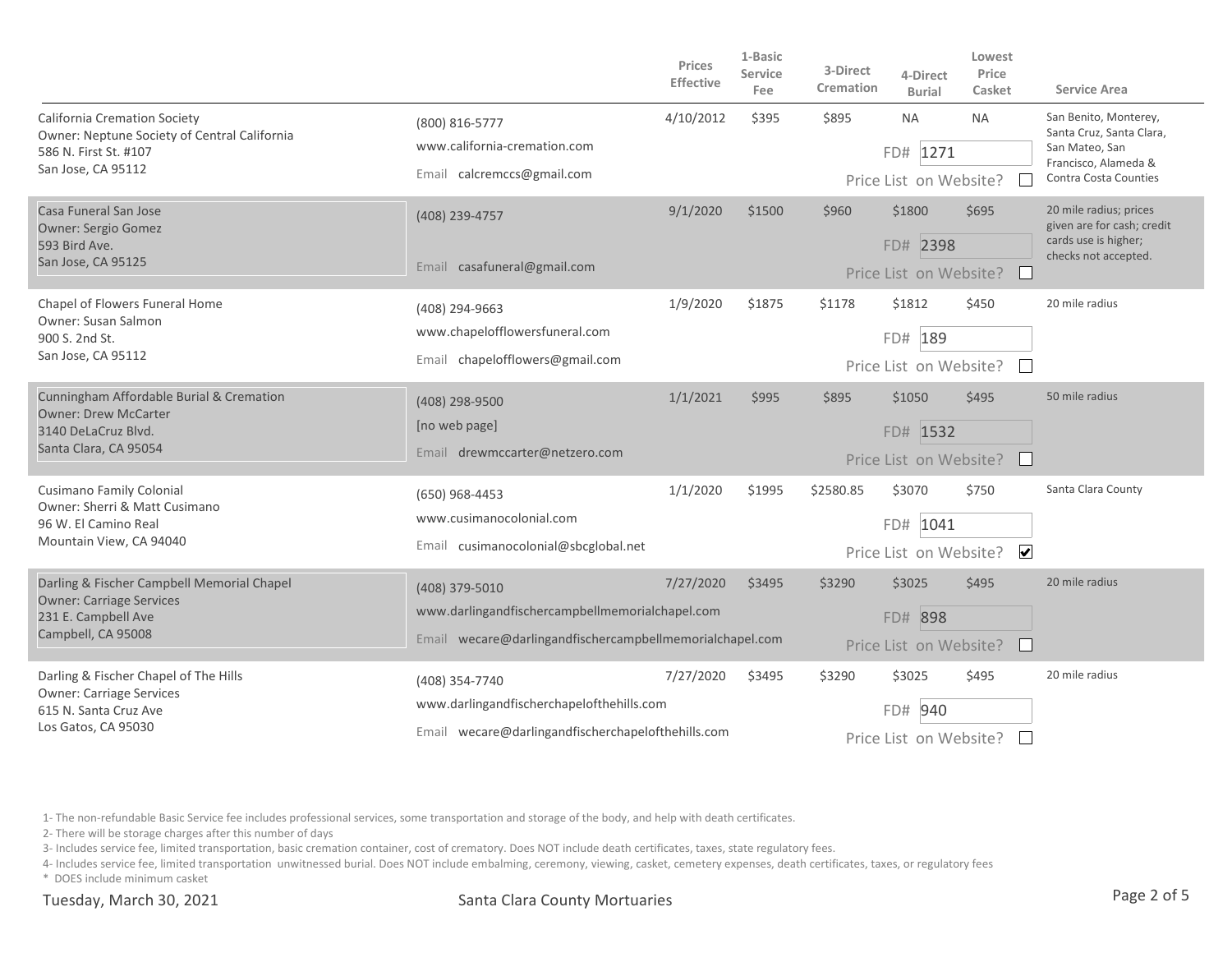|                                                                                                                                    |                                                                                                 | Prices<br><b>Effective</b> | 1-Basic<br>Service<br>Fee | 3-Direct<br>Cremation  | 4-Direct<br><b>Burial</b> | Lowest<br>Price<br>Casket | <b>Service Area</b>                                  |  |
|------------------------------------------------------------------------------------------------------------------------------------|-------------------------------------------------------------------------------------------------|----------------------------|---------------------------|------------------------|---------------------------|---------------------------|------------------------------------------------------|--|
| <b>California Cremation Society</b><br>Owner: Neptune Society of Central California<br>586 N. First St. #107<br>San Jose, CA 95112 | (800) 816-5777                                                                                  | 4/10/2012                  | \$395                     | \$895                  | <b>NA</b>                 | <b>NA</b>                 | San Benito, Monterey,<br>Santa Cruz, Santa Clara,    |  |
|                                                                                                                                    | www.california-cremation.com                                                                    |                            |                           |                        | FD# 1271                  |                           | San Mateo, San<br>Francisco, Alameda &               |  |
|                                                                                                                                    | Email calcremccs@gmail.com                                                                      |                            |                           |                        | Price List on Website?    |                           | Contra Costa Counties                                |  |
| Casa Funeral San Jose<br><b>Owner: Sergio Gomez</b>                                                                                | (408) 239-4757                                                                                  | 9/1/2020                   | \$1500                    | \$960                  | \$1800                    | \$695                     | 20 mile radius; prices<br>given are for cash; credit |  |
| 593 Bird Ave.                                                                                                                      |                                                                                                 |                            |                           |                        | FD# 2398                  |                           | cards use is higher;<br>checks not accepted.         |  |
| San Jose, CA 95125                                                                                                                 | Email casafuneral@gmail.com                                                                     |                            |                           |                        | Price List on Website?    |                           |                                                      |  |
| Chapel of Flowers Funeral Home<br><b>Owner: Susan Salmon</b>                                                                       | (408) 294-9663                                                                                  | 1/9/2020                   | \$1875                    | \$1178                 | \$1812                    | \$450                     | 20 mile radius                                       |  |
| 900 S. 2nd St.                                                                                                                     | www.chapelofflowersfuneral.com                                                                  |                            |                           | FD# 189                |                           |                           |                                                      |  |
| San Jose, CA 95112                                                                                                                 | Email chapelofflowers@gmail.com                                                                 |                            |                           |                        | Price List on Website?    |                           |                                                      |  |
| Cunningham Affordable Burial & Cremation<br><b>Owner: Drew McCarter</b>                                                            | (408) 298-9500                                                                                  | 1/1/2021                   | \$995                     | \$895                  | \$1050                    | \$495                     | 50 mile radius                                       |  |
| 3140 DeLaCruz Blvd.                                                                                                                | [no web page]                                                                                   |                            |                           | FD# 1532               |                           |                           |                                                      |  |
| Santa Clara, CA 95054                                                                                                              | Email drewmccarter@netzero.com                                                                  |                            |                           |                        | Price List on Website?    |                           |                                                      |  |
| Cusimano Family Colonial<br>Owner: Sherri & Matt Cusimano                                                                          | (650) 968-4453                                                                                  | 1/1/2020                   | \$1995                    | \$2580.85              | \$3070                    | \$750                     | Santa Clara County                                   |  |
| 96 W. El Camino Real                                                                                                               | www.cusimanocolonial.com                                                                        |                            |                           |                        | FD# 1041                  |                           |                                                      |  |
| Mountain View, CA 94040                                                                                                            | Email cusimanocolonial@sbcglobal.net                                                            |                            |                           |                        | Price List on Website?    | $\overline{\mathbf{v}}$   |                                                      |  |
| Darling & Fischer Campbell Memorial Chapel                                                                                         | (408) 379-5010                                                                                  | 7/27/2020                  | \$3495                    | \$3290                 | \$3025                    | \$495                     | 20 mile radius                                       |  |
| <b>Owner: Carriage Services</b><br>231 E. Campbell Ave<br>Campbell, CA 95008                                                       | www.darlingandfischercampbellmemorialchapel.com                                                 |                            |                           |                        | FD# 898                   |                           |                                                      |  |
|                                                                                                                                    | Email wecare@darlingandfischercampbellmemorialchapel.com                                        |                            |                           |                        | Price List on Website?    |                           |                                                      |  |
| Darling & Fischer Chapel of The Hills<br><b>Owner: Carriage Services</b><br>615 N. Santa Cruz Ave<br>Los Gatos, CA 95030           | (408) 354-7740                                                                                  | 7/27/2020                  | \$3495                    | \$3290                 | \$3025                    | \$495                     | 20 mile radius                                       |  |
|                                                                                                                                    | www.darlingandfischerchapelofthehills.com<br>Email wecare@darlingandfischerchapelofthehills.com |                            |                           |                        | 940<br>FD#                |                           |                                                      |  |
|                                                                                                                                    |                                                                                                 |                            |                           | Price List on Website? |                           |                           |                                                      |  |

2- There will be storage charges after this number of days

3- Includes service fee, limited transportation, basic cremation container, cost of crematory. Does NOT include death certificates, taxes, state regulatory fees.

4- Includes service fee, limited transportation unwitnessed burial. Does NOT include embalming, ceremony, viewing, casket, cemetery expenses, death certificates, taxes, or regulatory fees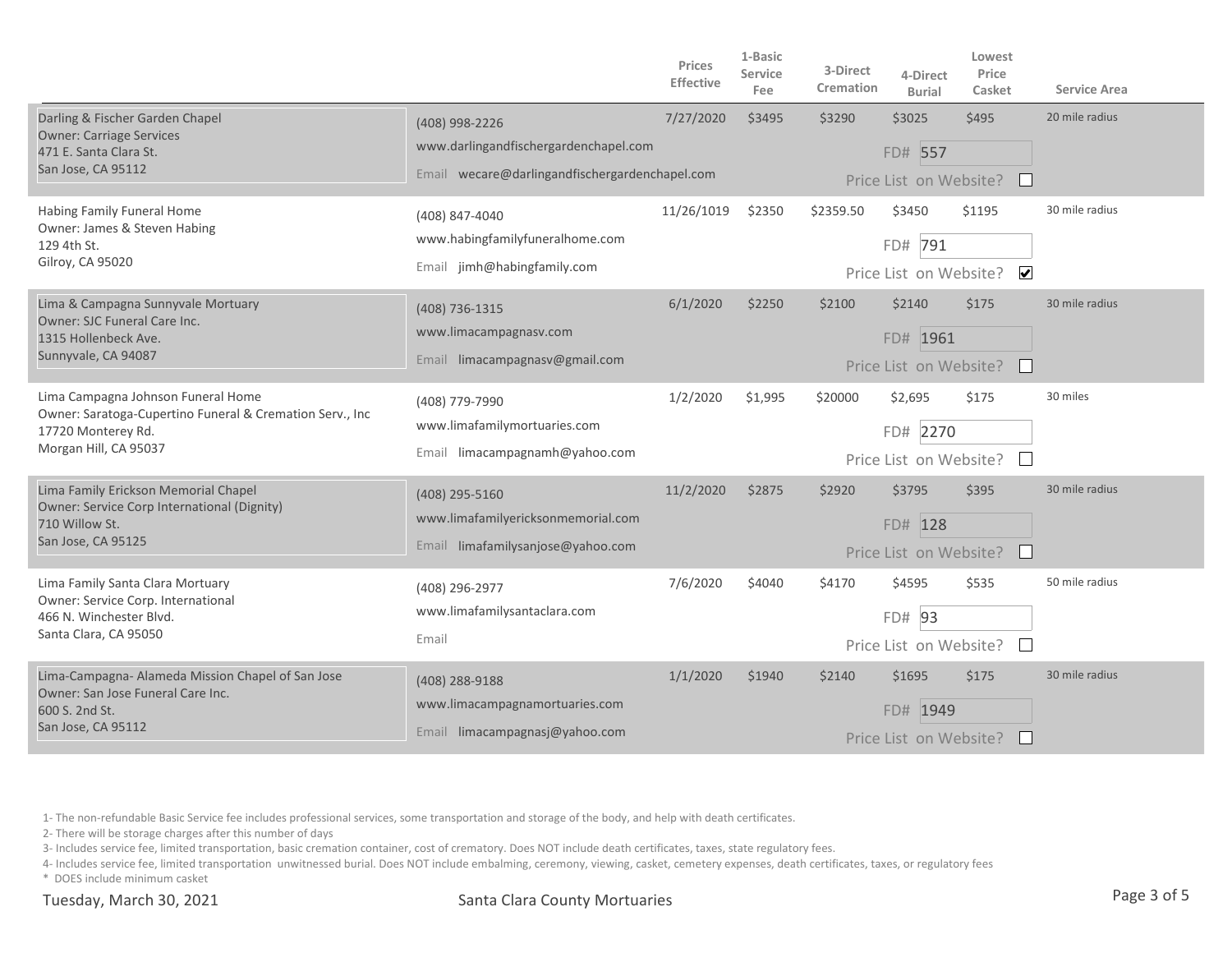|                                                                                                                                               |                                                                                                           | Prices<br><b>Effective</b> | 1-Basic<br>Service<br>Fee | 3-Direct<br>Cremation | 4-Direct<br><b>Burial</b>                     | Lowest<br>Price<br>Casket      | <b>Service Area</b> |
|-----------------------------------------------------------------------------------------------------------------------------------------------|-----------------------------------------------------------------------------------------------------------|----------------------------|---------------------------|-----------------------|-----------------------------------------------|--------------------------------|---------------------|
| Darling & Fischer Garden Chapel<br><b>Owner: Carriage Services</b><br>471 E. Santa Clara St.<br>San Jose, CA 95112                            | (408) 998-2226<br>www.darlingandfischergardenchapel.com<br>Email wecare@darlingandfischergardenchapel.com | 7/27/2020                  | \$3495                    | \$3290                | \$3025<br>FD# 557<br>Price List on Website?   | \$495                          | 20 mile radius      |
| Habing Family Funeral Home<br>Owner: James & Steven Habing<br>129 4th St.<br>Gilroy, CA 95020                                                 | (408) 847-4040<br>www.habingfamilyfuneralhome.com<br>Email jimh@habingfamily.com                          | 11/26/1019                 | \$2350                    | \$2359.50             | \$3450<br>FD# 791<br>Price List on Website?   | \$1195<br>$\blacktriangledown$ | 30 mile radius      |
| Lima & Campagna Sunnyvale Mortuary<br>Owner: SJC Funeral Care Inc.<br>1315 Hollenbeck Ave.<br>Sunnyvale, CA 94087                             | (408) 736-1315<br>www.limacampagnasv.com<br>Email limacampagnasv@gmail.com                                | 6/1/2020                   | \$2250                    | \$2100                | \$2140<br>FD# 1961<br>Price List on Website?  | \$175                          | 30 mile radius      |
| Lima Campagna Johnson Funeral Home<br>Owner: Saratoga-Cupertino Funeral & Cremation Serv., Inc<br>17720 Monterey Rd.<br>Morgan Hill, CA 95037 | (408) 779-7990<br>www.limafamilymortuaries.com<br>Email limacampagnamh@yahoo.com                          | 1/2/2020                   | \$1,995                   | \$20000               | \$2,695<br>FD# 2270<br>Price List on Website? | \$175                          | 30 miles            |
| Lima Family Erickson Memorial Chapel<br>Owner: Service Corp International (Dignity)<br>710 Willow St.<br>San Jose, CA 95125                   | (408) 295-5160<br>www.limafamilyericksonmemorial.com<br>Email limafamilysanjose@yahoo.com                 | 11/2/2020                  | \$2875                    | \$2920                | \$3795<br>FD# 128<br>Price List on Website?   | \$395                          | 30 mile radius      |
| Lima Family Santa Clara Mortuary<br>Owner: Service Corp. International<br>466 N. Winchester Blvd.<br>Santa Clara, CA 95050                    | (408) 296-2977<br>www.limafamilysantaclara.com<br>Email                                                   | 7/6/2020                   | \$4040                    | \$4170                | \$4595<br>FD# 93<br>Price List on Website?    | \$535                          | 50 mile radius      |
| Lima-Campagna- Alameda Mission Chapel of San Jose<br>Owner: San Jose Funeral Care Inc.<br>600 S. 2nd St.<br>San Jose, CA 95112                | (408) 288-9188<br>www.limacampagnamortuaries.com<br>Email limacampagnasj@yahoo.com                        | 1/1/2020                   | \$1940                    | \$2140                | \$1695<br>FD# 1949<br>Price List on Website?  | \$175                          | 30 mile radius      |

2- There will be storage charges after this number of days

3- Includes service fee, limited transportation, basic cremation container, cost of crematory. Does NOT include death certificates, taxes, state regulatory fees.

4- Includes service fee, limited transportation unwitnessed burial. Does NOT include embalming, ceremony, viewing, casket, cemetery expenses, death certificates, taxes, or regulatory fees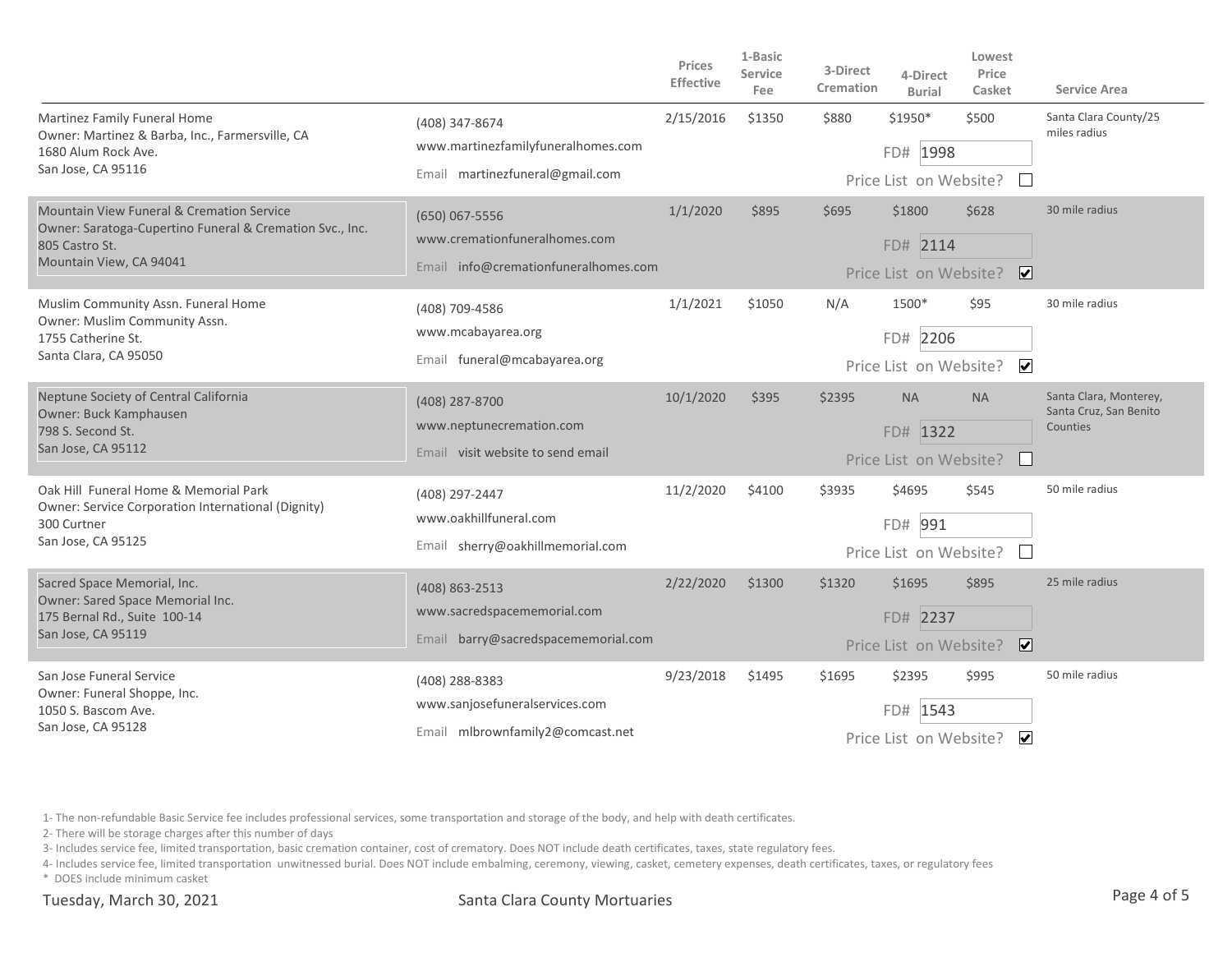|                                                                                                                                                               |                                                                                         | <b>Prices</b><br><b>Effective</b> | 1-Basic<br><b>Service</b><br>Fee | 3-Direct<br>Cremation | 4-Direct<br><b>Burial</b>                       | Lowest<br>Price<br>Casket        | <b>Service Area</b>                                          |
|---------------------------------------------------------------------------------------------------------------------------------------------------------------|-----------------------------------------------------------------------------------------|-----------------------------------|----------------------------------|-----------------------|-------------------------------------------------|----------------------------------|--------------------------------------------------------------|
| Martinez Family Funeral Home<br>Owner: Martinez & Barba, Inc., Farmersville, CA<br>1680 Alum Rock Ave.<br>San Jose, CA 95116                                  | (408) 347-8674<br>www.martinezfamilyfuneralhomes.com<br>Email martinezfuneral@gmail.com | 2/15/2016                         | \$1350                           | \$880                 | \$1950*<br>FD# 1998<br>Price List on Website?   | \$500<br>$\mathbf{L}$            | Santa Clara County/25<br>miles radius                        |
| <b>Mountain View Funeral &amp; Cremation Service</b><br>Owner: Saratoga-Cupertino Funeral & Cremation Svc., Inc.<br>805 Castro St.<br>Mountain View, CA 94041 | (650) 067-5556<br>www.cremationfuneralhomes.com<br>Email info@cremationfuneralhomes.com | 1/1/2020                          | \$895                            | \$695                 | \$1800<br>FD# 2114<br>Price List on Website?    | \$628<br>$\overline{\mathbf{v}}$ | 30 mile radius                                               |
| Muslim Community Assn. Funeral Home<br>Owner: Muslim Community Assn.<br>1755 Catherine St.<br>Santa Clara, CA 95050                                           | (408) 709-4586<br>www.mcabayarea.org<br>Email funeral@mcabayarea.org                    | 1/1/2021                          | \$1050                           | N/A                   | 1500*<br>FD# 2206<br>Price List on Website?     | \$95<br>$\overline{\mathbf{v}}$  | 30 mile radius                                               |
| Neptune Society of Central California<br>Owner: Buck Kamphausen<br>798 S. Second St.<br>San Jose, CA 95112                                                    | (408) 287-8700<br>www.neptunecremation.com<br>Email visit website to send email         | 10/1/2020                         | \$395                            | \$2395                | <b>NA</b><br>FD# 1322<br>Price List on Website? | <b>NA</b><br>$\mathbf{I}$        | Santa Clara, Monterey,<br>Santa Cruz, San Benito<br>Counties |
| Oak Hill Funeral Home & Memorial Park<br>Owner: Service Corporation International (Dignity)<br>300 Curtner<br>San Jose, CA 95125                              | (408) 297-2447<br>www.oakhillfuneral.com<br>Email sherry@oakhillmemorial.com            | 11/2/2020                         | \$4100                           | \$3935                | \$4695<br>FD# 991<br>Price List on Website?     | \$545                            | 50 mile radius                                               |
| Sacred Space Memorial, Inc.<br>Owner: Sared Space Memorial Inc.<br>175 Bernal Rd., Suite 100-14<br>San Jose, CA 95119                                         | (408) 863-2513<br>www.sacredspacememorial.com<br>Email barry@sacredspacememorial.com    | 2/22/2020                         | \$1300                           | \$1320                | \$1695<br>FD# 2237<br>Price List on Website?    | \$895<br>$\overline{\mathbf{v}}$ | 25 mile radius                                               |
| San Jose Funeral Service<br>Owner: Funeral Shoppe, Inc.<br>1050 S. Bascom Ave.<br>San Jose, CA 95128                                                          | (408) 288-8383<br>www.sanjosefuneralservices.com<br>Email mlbrownfamily2@comcast.net    | 9/23/2018                         | \$1495                           | \$1695                | \$2395<br>FD#<br>1543<br>Price List on Website? | \$995<br>$\blacktriangledown$    | 50 mile radius                                               |

2- There will be storage charges after this number of days

3- Includes service fee, limited transportation, basic cremation container, cost of crematory. Does NOT include death certificates, taxes, state regulatory fees.

4- Includes service fee, limited transportation unwitnessed burial. Does NOT include embalming, ceremony, viewing, casket, cemetery expenses, death certificates, taxes, or regulatory fees